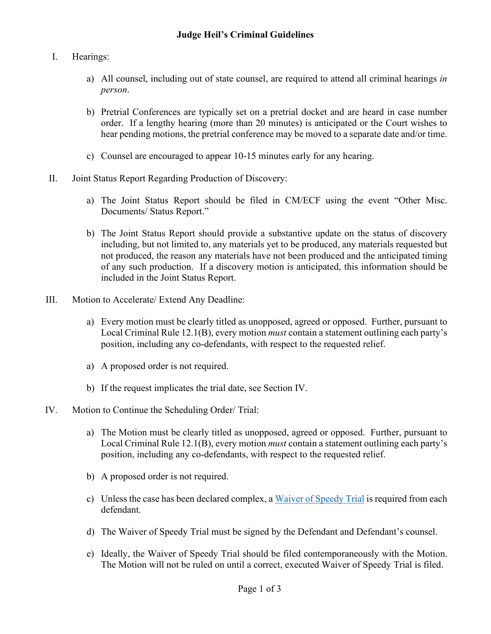- I. Hearings:
	- a) All counsel, including out of state counsel, are required to attend all criminal hearings *in person*.
	- b) Pretrial Conferences are typically set on a pretrial docket and are heard in case number order. If a lengthy hearing (more than 20 minutes) is anticipated or the Court wishes to hear pending motions, the pretrial conference may be moved to a separate date and/or time.
	- c) Counsel are encouraged to appear 10-15 minutes early for any hearing.
- II. Joint Status Report Regarding Production of Discovery:
	- a) The Joint Status Report should be filed in CM/ECF using the event "Other Misc. Documents/ Status Report."
	- b) The Joint Status Report should provide a substantive update on the status of discovery including, but not limited to, any materials yet to be produced, any materials requested but not produced, the reason any materials have not been produced and the anticipated timing of any such production. If a discovery motion is anticipated, this information should be included in the Joint Status Report.
- III. Motion to Accelerate/ Extend Any Deadline:
	- a) Every motion must be clearly titled as unopposed, agreed or opposed. Further, pursuant to Local Criminal Rule 12.1(B), every motion *must* contain a statement outlining each party's position, including any co-defendants, with respect to the requested relief.
	- a) A proposed order is not required.
	- b) If the request implicates the trial date, see Section IV.
- IV. Motion to Continue the Scheduling Order/ Trial:
	- a) The Motion must be clearly titled as unopposed, agreed or opposed. Further, pursuant to Local Criminal Rule 12.1(B), every motion *must* contain a statement outlining each party's position, including any co-defendants, with respect to the requested relief.
	- b) A proposed order is not required.
	- c) Unless the case has been declared complex, a [Waiver of Speedy Trial](https://www.oked.uscourts.gov/sites/oked/files/Speedy%20Trial%20Waiver%20-%20JFH%20-%20Eastern%20District_0.pdf) is required from each defendant.
	- d) The Waiver of Speedy Trial must be signed by the Defendant and Defendant's counsel.
	- e) Ideally, the Waiver of Speedy Trial should be filed contemporaneously with the Motion. The Motion will not be ruled on until a correct, executed Waiver of Speedy Trial is filed.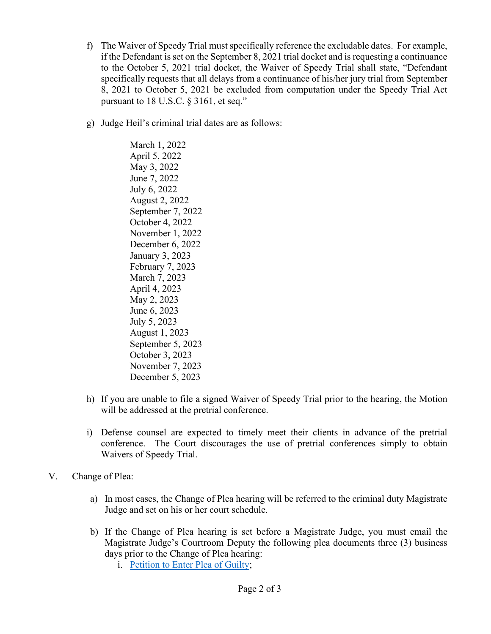- f) The Waiver of Speedy Trial must specifically reference the excludable dates. For example, if the Defendant is set on the September 8, 2021 trial docket and is requesting a continuance to the October 5, 2021 trial docket, the Waiver of Speedy Trial shall state, "Defendant specifically requests that all delays from a continuance of his/her jury trial from September 8, 2021 to October 5, 2021 be excluded from computation under the Speedy Trial Act pursuant to 18 U.S.C. § 3161, et seq."
- g) Judge Heil's criminal trial dates are as follows:

March 1, 2022 April 5, 2022 May 3, 2022 June 7, 2022 July 6, 2022 August 2, 2022 September 7, 2022 October 4, 2022 November 1, 2022 December 6, 2022 January 3, 2023 February 7, 2023 March 7, 2023 April 4, 2023 May 2, 2023 June 6, 2023 July 5, 2023 August 1, 2023 September 5, 2023 October 3, 2023 November 7, 2023 December 5, 2023

- h) If you are unable to file a signed Waiver of Speedy Trial prior to the hearing, the Motion will be addressed at the pretrial conference.
- i) Defense counsel are expected to timely meet their clients in advance of the pretrial conference. The Court discourages the use of pretrial conferences simply to obtain Waivers of Speedy Trial.
- V. Change of Plea:
	- a) In most cases, the Change of Plea hearing will be referred to the criminal duty Magistrate Judge and set on his or her court schedule.
	- b) If the Change of Plea hearing is set before a Magistrate Judge, you must email the Magistrate Judge's Courtroom Deputy the following plea documents three (3) business days prior to the Change of Plea hearing:
		- i. [Petition to Enter Plea of Guilty;](https://www.oked.uscourts.gov/forms/petition-enter-plea-guilty-heil)